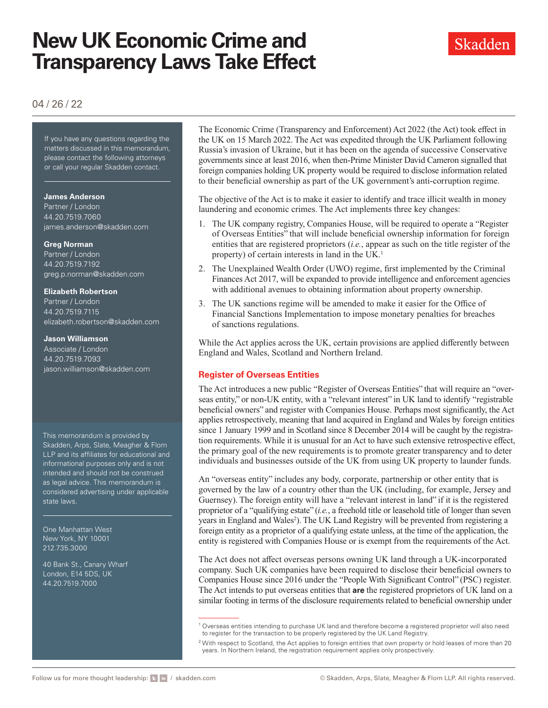# **New UK Economic Crime and Transparency Laws Take Effect**



# 04 / 26 / 22

If you have any questions regarding the matters discussed in this memorandum, please contact the following attorneys or call your regular Skadden contact.

#### **James Anderson**

Partner / London 44.20.7519.7060 [james.anderson@skadden.com](mailto:james.anderson@skadden.com
)

#### **Greg Norman**

Partner / London 44.20.7519.7192 [greg.p.norman@skadden.com](mailto:greg.p.norman@skadden.com
)

#### **Elizabeth Robertson**

Partner / London 44.20.7519.7115 [elizabeth.robertson@skadden.com](mailto:elizabeth.robertson@skadden.com
)

#### **Jason Williamson**

Associate / London 44.20.7519.7093 [jason.williamson@skadden.com](mailto:jason.williamson@skadden.com
)

This memorandum is provided by Skadden, Arps, Slate, Meagher & Flom LLP and its affiliates for educational and informational purposes only and is not intended and should not be construed as legal advice. This memorandum is considered advertising under applicable state laws.

One Manhattan West New York, NY 10001 212.735.3000

40 Bank St., Canary Wharf London, E14 5DS, UK 44.20.7519.7000

The Economic Crime (Transparency and Enforcement) Act 2022 (the Act) took effect in the UK on 15 March 2022. The Act was expedited through the UK Parliament following Russia's invasion of Ukraine, but it has been on the agenda of successive Conservative governments since at least 2016, when then-Prime Minister David Cameron signalled that foreign companies holding UK property would be required to disclose information related to their beneficial ownership as part of the UK government's anti-corruption regime.

The objective of the Act is to make it easier to identify and trace illicit wealth in money laundering and economic crimes. The Act implements three key changes:

- 1. The UK company registry, Companies House, will be required to operate a "Register of Overseas Entities" that will include beneficial ownership information for foreign entities that are registered proprietors (*i.e.*, appear as such on the title register of the property) of certain interests in land in the UK.<sup>1</sup>
- 2. The Unexplained Wealth Order (UWO) regime, first implemented by the Criminal Finances Act 2017, will be expanded to provide intelligence and enforcement agencies with additional avenues to obtaining information about property ownership.
- 3. The UK sanctions regime will be amended to make it easier for the Office of Financial Sanctions Implementation to impose monetary penalties for breaches of sanctions regulations.

While the Act applies across the UK, certain provisions are applied differently between England and Wales, Scotland and Northern Ireland.

#### **Register of Overseas Entities**

The Act introduces a new public "Register of Overseas Entities" that will require an "overseas entity," or non-UK entity, with a "relevant interest" in UK land to identify "registrable beneficial owners" and register with Companies House. Perhaps most significantly, the Act applies retrospectively, meaning that land acquired in England and Wales by foreign entities since 1 January 1999 and in Scotland since 8 December 2014 will be caught by the registration requirements. While it is unusual for an Act to have such extensive retrospective effect, the primary goal of the new requirements is to promote greater transparency and to deter individuals and businesses outside of the UK from using UK property to launder funds.

An "overseas entity" includes any body, corporate, partnership or other entity that is governed by the law of a country other than the UK (including, for example, Jersey and Guernsey). The foreign entity will have a "relevant interest in land" if it is the registered proprietor of a "qualifying estate" (*i.e.*, a freehold title or leasehold title of longer than seven years in England and Wales<sup>2</sup>). The UK Land Registry will be prevented from registering a foreign entity as a proprietor of a qualifying estate unless, at the time of the application, the entity is registered with Companies House or is exempt from the requirements of the Act.

The Act does not affect overseas persons owning UK land through a UK-incorporated company. Such UK companies have been required to disclose their beneficial owners to Companies House since 2016 under the "People With Significant Control" (PSC) register. The Act intends to put overseas entities that **are** the registered proprietors of UK land on a similar footing in terms of the disclosure requirements related to beneficial ownership under

<sup>1</sup> Overseas entities intending to purchase UK land and therefore become a registered proprietor will also need to register for the transaction to be properly registered by the UK Land Registry.

 $2$  With respect to Scotland, the Act applies to foreign entities that own property or hold leases of more than 20 years. In Northern Ireland, the registration requirement applies only prospectively.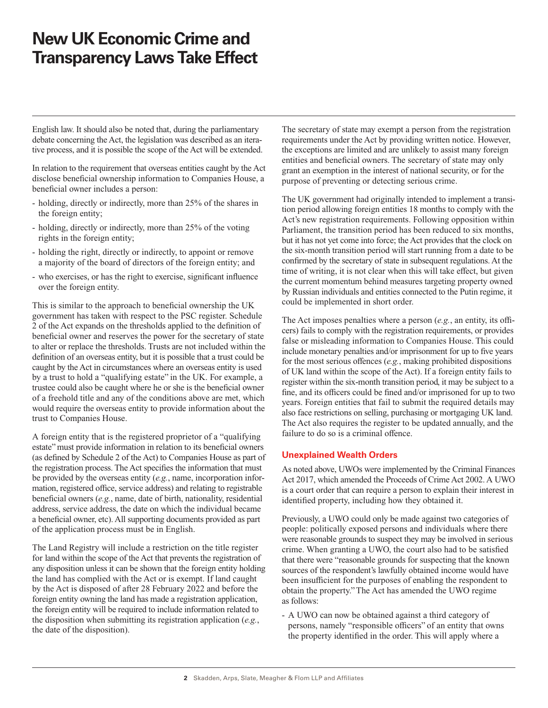# **New UK Economic Crime and Transparency Laws Take Effect**

English law. It should also be noted that, during the parliamentary debate concerning the Act, the legislation was described as an iterative process, and it is possible the scope of the Act will be extended.

In relation to the requirement that overseas entities caught by the Act disclose beneficial ownership information to Companies House, a beneficial owner includes a person:

- holding, directly or indirectly, more than 25% of the shares in the foreign entity;
- holding, directly or indirectly, more than 25% of the voting rights in the foreign entity;
- holding the right, directly or indirectly, to appoint or remove a majority of the board of directors of the foreign entity; and
- who exercises, or has the right to exercise, significant influence over the foreign entity.

This is similar to the approach to beneficial ownership the UK government has taken with respect to the PSC register. Schedule 2 of the Act expands on the thresholds applied to the definition of beneficial owner and reserves the power for the secretary of state to alter or replace the thresholds. Trusts are not included within the definition of an overseas entity, but it is possible that a trust could be caught by the Act in circumstances where an overseas entity is used by a trust to hold a "qualifying estate" in the UK. For example, a trustee could also be caught where he or she is the beneficial owner of a freehold title and any of the conditions above are met, which would require the overseas entity to provide information about the trust to Companies House.

A foreign entity that is the registered proprietor of a "qualifying estate" must provide information in relation to its beneficial owners (as defined by Schedule 2 of the Act) to Companies House as part of the registration process. The Act specifies the information that must be provided by the overseas entity (*e.g.*, name, incorporation information, registered office, service address) and relating to registrable beneficial owners (*e.g.*, name, date of birth, nationality, residential address, service address, the date on which the individual became a beneficial owner, etc). All supporting documents provided as part of the application process must be in English.

The Land Registry will include a restriction on the title register for land within the scope of the Act that prevents the registration of any disposition unless it can be shown that the foreign entity holding the land has complied with the Act or is exempt. If land caught by the Act is disposed of after 28 February 2022 and before the foreign entity owning the land has made a registration application, the foreign entity will be required to include information related to the disposition when submitting its registration application (*e.g.*, the date of the disposition).

The secretary of state may exempt a person from the registration requirements under the Act by providing written notice. However, the exceptions are limited and are unlikely to assist many foreign entities and beneficial owners. The secretary of state may only grant an exemption in the interest of national security, or for the purpose of preventing or detecting serious crime.

The UK government had originally intended to implement a transition period allowing foreign entities 18 months to comply with the Act's new registration requirements. Following opposition within Parliament, the transition period has been reduced to six months, but it has not yet come into force; the Act provides that the clock on the six-month transition period will start running from a date to be confirmed by the secretary of state in subsequent regulations. At the time of writing, it is not clear when this will take effect, but given the current momentum behind measures targeting property owned by Russian individuals and entities connected to the Putin regime, it could be implemented in short order.

The Act imposes penalties where a person (*e.g.*, an entity, its officers) fails to comply with the registration requirements, or provides false or misleading information to Companies House. This could include monetary penalties and/or imprisonment for up to five years for the most serious offences (*e.g.*, making prohibited dispositions of UK land within the scope of the Act). If a foreign entity fails to register within the six-month transition period, it may be subject to a fine, and its officers could be fined and/or imprisoned for up to two years. Foreign entities that fail to submit the required details may also face restrictions on selling, purchasing or mortgaging UK land. The Act also requires the register to be updated annually, and the failure to do so is a criminal offence.

## **Unexplained Wealth Orders**

As noted above, UWOs were implemented by the Criminal Finances Act 2017, which amended the Proceeds of Crime Act 2002. A UWO is a court order that can require a person to explain their interest in identified property, including how they obtained it.

Previously, a UWO could only be made against two categories of people: politically exposed persons and individuals where there were reasonable grounds to suspect they may be involved in serious crime. When granting a UWO, the court also had to be satisfied that there were "reasonable grounds for suspecting that the known sources of the respondent's lawfully obtained income would have been insufficient for the purposes of enabling the respondent to obtain the property." The Act has amended the UWO regime as follows:

- A UWO can now be obtained against a third category of persons, namely "responsible officers" of an entity that owns the property identified in the order. This will apply where a